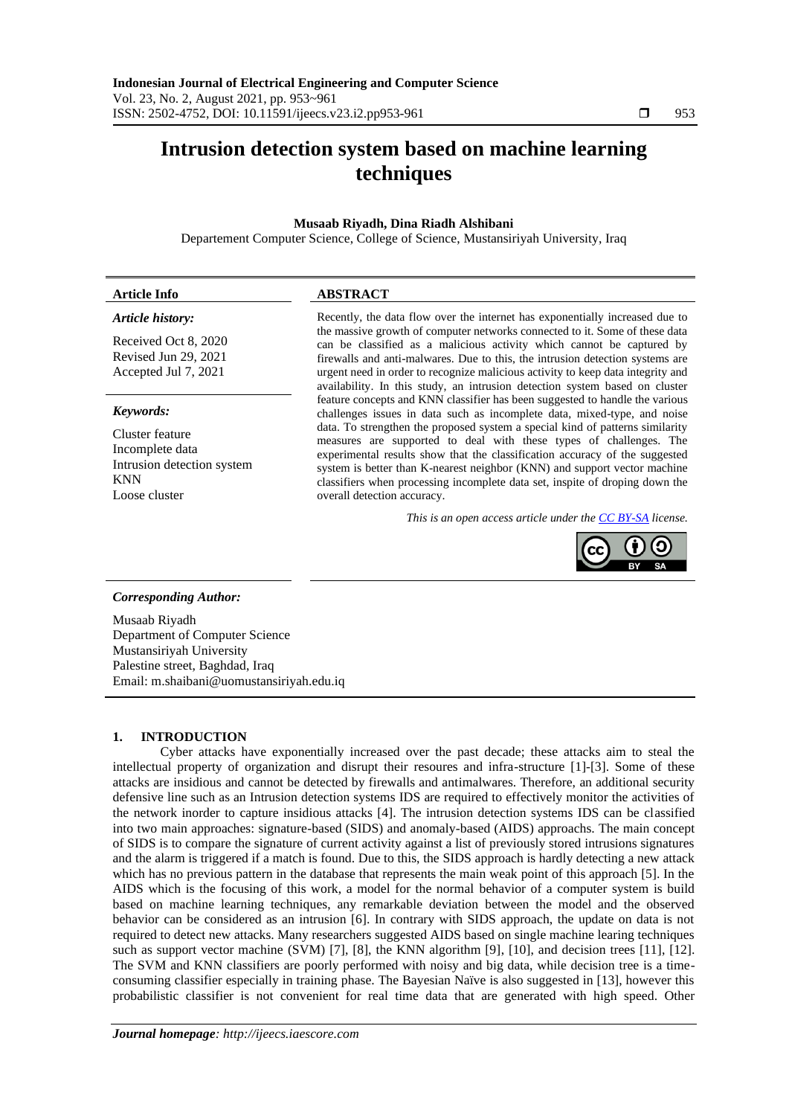# **Intrusion detection system based on machine learning techniques**

# **Musaab Riyadh, Dina Riadh Alshibani**

Departement Computer Science, College of Science, Mustansiriyah University, Iraq

# *Article history:*

Received Oct 8, 2020 Revised Jun 29, 2021 Accepted Jul 7, 2021

### *Keywords:*

Cluster feature Incomplete data Intrusion detection system KNN Loose cluster

# **Article Info ABSTRACT**

Recently, the data flow over the internet has exponentially increased due to the massive growth of computer networks connected to it. Some of these data can be classified as a malicious activity which cannot be captured by firewalls and anti-malwares. Due to this, the intrusion detection systems are urgent need in order to recognize malicious activity to keep data integrity and availability. In this study, an intrusion detection system based on cluster feature concepts and KNN classifier has been suggested to handle the various challenges issues in data such as incomplete data, mixed-type, and noise data. To strengthen the proposed system a special kind of patterns similarity measures are supported to deal with these types of challenges. The experimental results show that the classification accuracy of the suggested system is better than K-nearest neighbor (KNN) and support vector machine classifiers when processing incomplete data set, inspite of droping down the overall detection accuracy.

*This is an open access article under the [CC BY-SA](https://creativecommons.org/licenses/by-sa/4.0/) license.*



## *Corresponding Author:*

Musaab Riyadh Department of Computer Science Mustansiriyah University Palestine street, Baghdad, Iraq Email: m.shaibani@uomustansiriyah.edu.iq

# **1. INTRODUCTION**

Cyber attacks have exponentially increased over the past decade; these attacks aim to steal the intellectual property of organization and disrupt their resoures and infra-structure [1]-[3]. Some of these attacks are insidious and cannot be detected by firewalls and antimalwares. Therefore, an additional security defensive line such as an Intrusion detection systems IDS are required to effectively monitor the activities of the network inorder to capture insidious attacks [4]. The intrusion detection systems IDS can be classified into two main approaches: signature-based (SIDS) and anomaly-based (AIDS) approachs. The main concept of SIDS is to compare the signature of current activity against a list of previously stored intrusions signatures and the alarm is triggered if a match is found. Due to this, the SIDS approach is hardly detecting a new attack which has no previous pattern in the database that represents the main weak point of this approach [5]. In the AIDS which is the focusing of this work, a model for the normal behavior of a computer system is build based on machine learning techniques, any remarkable deviation between the model and the observed behavior can be considered as an intrusion [6]. In contrary with SIDS approach, the update on data is not required to detect new attacks. Many researchers suggested AIDS based on single machine learing techniques such as support vector machine (SVM) [7], [8], the KNN algorithm [9], [10], and decision trees [11], [12]. The SVM and KNN classifiers are poorly performed with noisy and big data, while decision tree is a timeconsuming classifier especially in training phase. The Bayesian Naïve is also suggested in [13], however this probabilistic classifier is not convenient for real time data that are generated with high speed. Other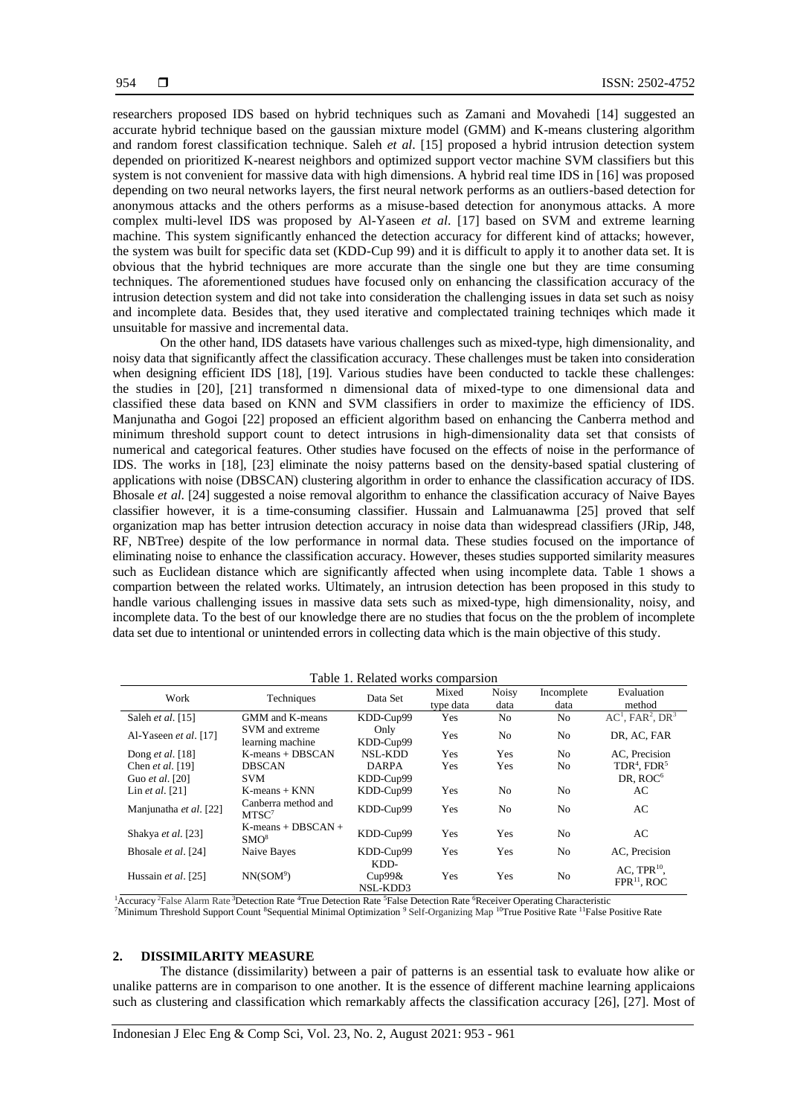researchers proposed IDS based on hybrid techniques such as Zamani and Movahedi [14] suggested an accurate hybrid technique based on the gaussian mixture model (GMM) and K-means clustering algorithm and random forest classification technique. Saleh *et al*. [15] proposed a hybrid intrusion detection system depended on prioritized K-nearest neighbors and optimized support vector machine SVM classifiers but this system is not convenient for massive data with high dimensions. A hybrid real time IDS in [16] was proposed depending on two neural networks layers, the first neural network performs as an outliers-based detection for anonymous attacks and the others performs as a misuse-based detection for anonymous attacks. A more complex multi-level IDS was proposed by Al-Yaseen *et al*. [17] based on SVM and extreme learning machine. This system significantly enhanced the detection accuracy for different kind of attacks; however, the system was built for specific data set (KDD-Cup 99) and it is difficult to apply it to another data set. It is obvious that the hybrid techniques are more accurate than the single one but they are time consuming techniques. The aforementioned studues have focused only on enhancing the classification accuracy of the intrusion detection system and did not take into consideration the challenging issues in data set such as noisy and incomplete data. Besides that, they used iterative and complectated training techniqes which made it unsuitable for massive and incremental data.

On the other hand, IDS datasets have various challenges such as mixed-type, high dimensionality, and noisy data that significantly affect the classification accuracy. These challenges must be taken into consideration when designing efficient IDS [18], [19]. Various studies have been conducted to tackle these challenges: the studies in [20], [21] transformed n dimensional data of mixed-type to one dimensional data and classified these data based on KNN and SVM classifiers in order to maximize the efficiency of IDS. Manjunatha and Gogoi [22] proposed an efficient algorithm based on enhancing the Canberra method and minimum threshold support count to detect intrusions in high-dimensionality data set that consists of numerical and categorical features. Other studies have focused on the effects of noise in the performance of IDS. The works in [18], [23] eliminate the noisy patterns based on the density-based spatial clustering of applications with noise (DBSCAN) clustering algorithm in order to enhance the classification accuracy of IDS. Bhosale *et al*. [24] suggested a noise removal algorithm to enhance the classification accuracy of Naive Bayes classifier however, it is a time-consuming classifier. Hussain and Lalmuanawma [25] proved that self organization map has better intrusion detection accuracy in noise data than widespread classifiers (JRip, J48, RF, NBTree) despite of the low performance in normal data. These studies focused on the importance of eliminating noise to enhance the classification accuracy. However, theses studies supported similarity measures such as Euclidean distance which are significantly affected when using incomplete data. Table 1 shows a compartion between the related works. Ultimately, an intrusion detection has been proposed in this study to handle various challenging issues in massive data sets such as mixed-type, high dimensionality, noisy, and incomplete data. To the best of our knowledge there are no studies that focus on the the problem of incomplete data set due to intentional or unintended errors in collecting data which is the main objective of this study.

| Work                    | Techniques                                | Data Set                   | Mixed      | <b>Noisy</b>   | Incomplete     | Evaluation                                     |
|-------------------------|-------------------------------------------|----------------------------|------------|----------------|----------------|------------------------------------------------|
|                         |                                           |                            | type data  | data           | data           | method                                         |
| Saleh et al. [15]       | GMM and K-means                           | KDD-Cup99                  | Yes        | N <sub>0</sub> | N <sub>o</sub> | $AC1$ , FAR <sup>2</sup> , DR <sup>3</sup>     |
| Al-Yaseen et al. [17]   | SVM and extreme<br>learning machine       | Only<br>KDD-Cup99          | Yes        | N <sub>0</sub> | N <sub>o</sub> | DR, AC, FAR                                    |
| Dong <i>et al.</i> [18] | $K$ -means + DBSCAN                       | NSL-KDD                    | <b>Yes</b> | Yes            | N <sub>0</sub> | AC. Precision                                  |
| Chen et al. [19]        | <b>DBSCAN</b>                             | <b>DARPA</b>               | Yes        | Yes            | N <sub>o</sub> | $TDR4$ . FDR <sup>5</sup>                      |
| Guo et al. [20]         | <b>SVM</b>                                | KDD-Cup99                  |            |                |                | DR, ROC <sup>6</sup>                           |
| Lin et al. $[21]$       | $K$ -means + $KNN$                        | KDD-Cup99                  | Yes        | N <sub>0</sub> | N <sub>o</sub> | AC                                             |
| Manjunatha et al. [22]  | Canberra method and<br>MTSC <sup>7</sup>  | KDD-Cup99                  | Yes        | N <sub>0</sub> | N <sub>0</sub> | AC.                                            |
| Shakya et al. [23]      | $K$ -means + DBSCAN +<br>SMO <sup>8</sup> | KDD-Cup99                  | Yes        | Yes            | N <sub>0</sub> | AC                                             |
| Bhosale et al. [24]     | Naive Bayes                               | KDD-Cup99                  | Yes        | Yes            | N <sub>0</sub> | AC. Precision                                  |
| Hussain et al. [25]     | NN(SOM <sup>9</sup> )                     | KDD-<br>Cup99&<br>NSL-KDD3 | Yes        | Yes            | N <sub>o</sub> | $AC.$ TPR $^{10}$ .<br>FPR <sup>11</sup> , ROC |

Table 1. Related works comparsion

<sup>1</sup>Accuracy <sup>2</sup>False Alarm Rate <sup>3</sup>Detection Rate <sup>4</sup>True Detection Rate <sup>5</sup>False Detection Rate <sup>6</sup>Receiver Operating Characteristic <sup>7</sup>Minimum Threshold Support Count <sup>8</sup>Sequential Minimal Optimization <sup>9</sup> Self-Organizing Map <sup>10</sup>True Positive Rate <sup>11</sup>False Positive Rate

#### **2. DISSIMILARITY MEASURE**

The distance (dissimilarity) between a pair of patterns is an essential task to evaluate how alike or unalike patterns are in comparison to one another. It is the essence of different machine learning applicaions such as clustering and classification which remarkably affects the classification accuracy [26], [27]. Most of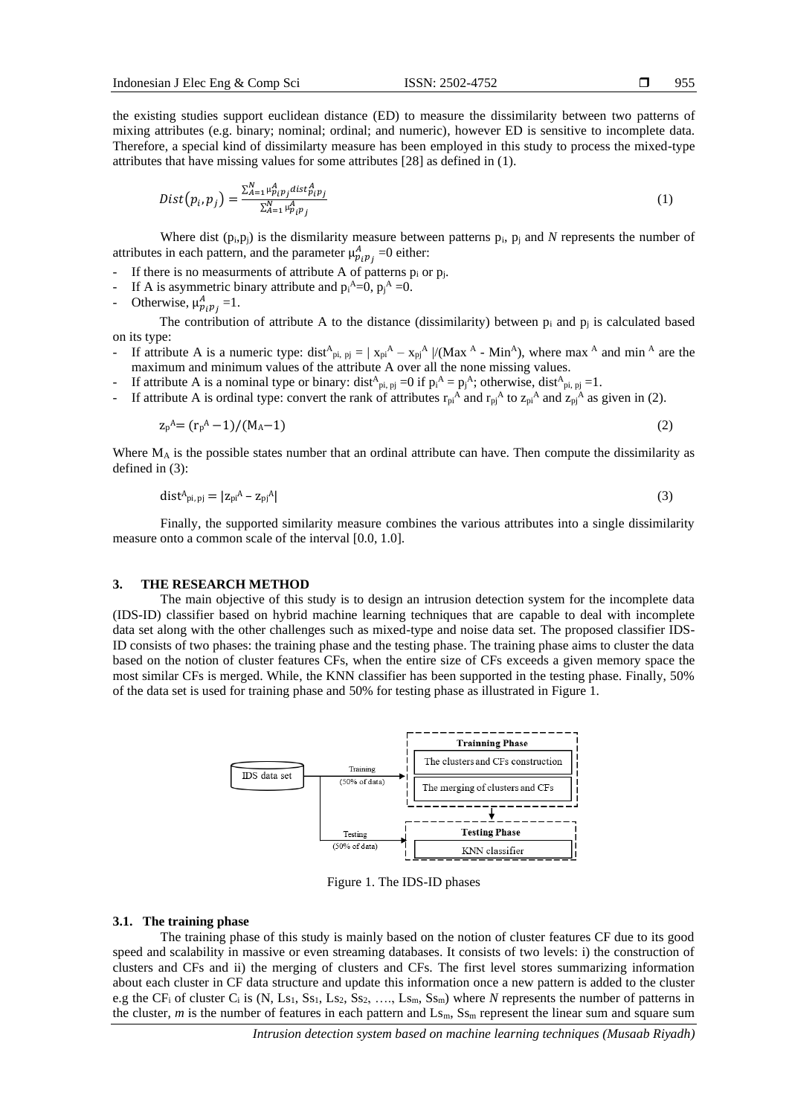955

the existing studies support euclidean distance (ED) to measure the dissimilarity between two patterns of mixing attributes (e.g. binary; nominal; ordinal; and numeric), however ED is sensitive to incomplete data. Therefore, a special kind of dissimilarty measure has been employed in this study to process the mixed-type attributes that have missing values for some attributes [28] as defined in (1).

$$
Dist(p_i, p_j) = \frac{\sum_{A=1}^{N} \mu_{p_i p_j}^{A} dist_{p_i p_j}^{A}}{\sum_{A=1}^{N} \mu_{p_i p_j}^{A}}
$$
(1)

Where dist  $(p_i, p_j)$  is the dismilarity measure between patterns  $p_i$ ,  $p_j$  and *N* represents the number of attributes in each pattern, and the parameter  $\mu_{p_i p_j}^A = 0$  either:

- If there is no measurments of attribute A of patterns  $p_i$  or  $p_j$ .
- If A is asymmetric binary attribute and  $p_i^A = 0$ ,  $p_j^A = 0$ .
- Otherwise,  $\mu_{p_i p_j}^A = 1$ .

The contribution of attribute A to the distance (dissimilarity) between  $p_i$  and  $p_j$  is calculated based on its type:

- If attribute A is a numeric type:  $dist^A_{pi, pj} = |x_{pi}^A x_{pj}^A|/(Max^A Min^A)$ , where max <sup>A</sup> and min <sup>A</sup> are the maximum and minimum values of the attribute A over all the none missing values.
- If attribute A is a nominal type or binary:  $dist^A_{pi, pj} = 0$  if  $p_i^A = p_j^A$ ; otherwise,  $dist^A_{pi, pj} = 1$ .
- If attribute A is ordinal type: convert the rank of attributes  $r_{pi}^A$  and  $r_{pi}^A$  to  $z_{pi}^A$  and  $z_{pi}^A$  as given in (2).

$$
z_p^A = (r_p^A - 1)/(M_A - 1) \tag{2}
$$

Where  $M_A$  is the possible states number that an ordinal attribute can have. Then compute the dissimilarity as defined in (3):

$$
\text{dist}_{\text{pi},\text{pj}} = |z_{\text{pi}}^{\text{A}} - z_{\text{pi}}^{\text{A}}| \tag{3}
$$

Finally, the supported similarity measure combines the various attributes into a single dissimilarity measure onto a common scale of the interval [0.0, 1.0].

#### **3. THE RESEARCH METHOD**

The main objective of this study is to design an intrusion detection system for the incomplete data (IDS-ID) classifier based on hybrid machine learning techniques that are capable to deal with incomplete data set along with the other challenges such as mixed-type and noise data set. The proposed classifier IDS-ID consists of two phases: the training phase and the testing phase. The training phase aims to cluster the data based on the notion of cluster features CFs, when the entire size of CFs exceeds a given memory space the most similar CFs is merged. While, the KNN classifier has been supported in the testing phase. Finally, 50% of the data set is used for training phase and 50% for testing phase as illustrated in Figure 1.



Figure 1. The IDS-ID phases

#### **3.1. The training phase**

The training phase of this study is mainly based on the notion of cluster features CF due to its good speed and scalability in massive or even streaming databases. It consists of two levels: i) the construction of clusters and CFs and ii) the merging of clusters and CFs. The first level stores summarizing information about each cluster in CF data structure and update this information once a new pattern is added to the cluster e.g the CF<sub>i</sub> of cluster C<sub>i</sub> is  $(N, Ls_1, Ss_1, Ls_2, Ss_2, ..., Ls_m, Ss_m)$  where *N* represents the number of patterns in the cluster, *m* is the number of features in each pattern and Ls<sub>m</sub>, S<sub>Sm</sub> represent the linear sum and square sum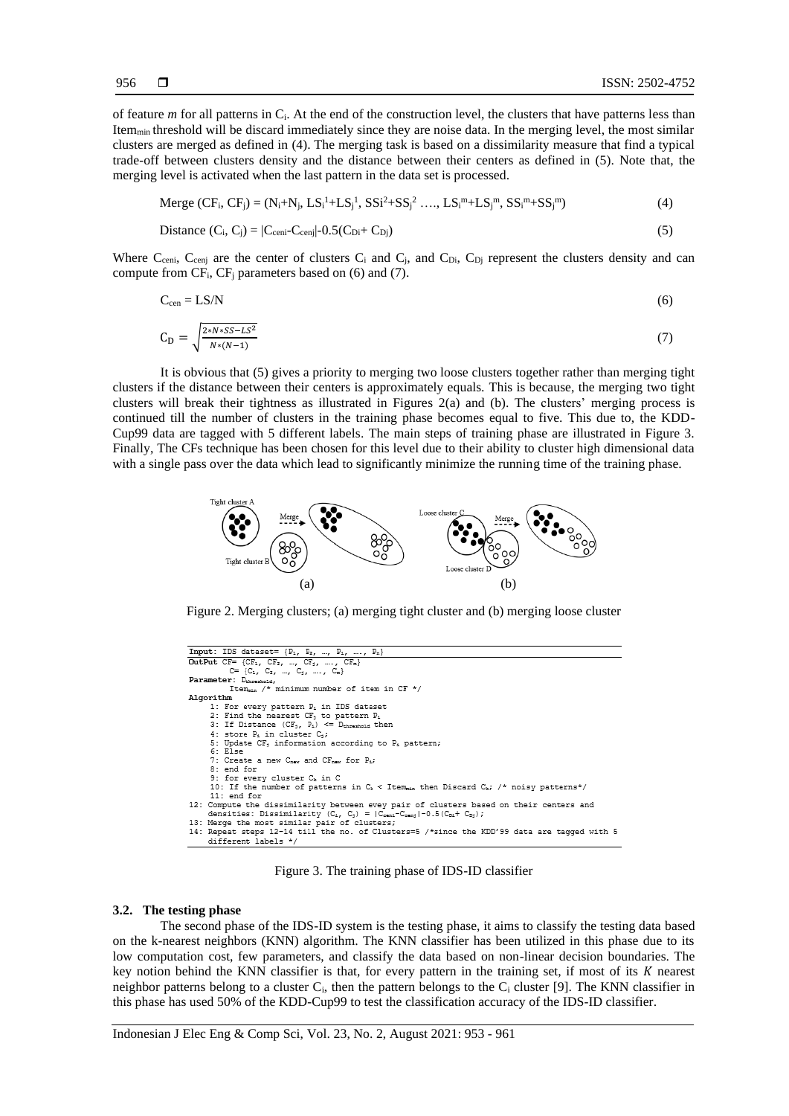of feature *m* for all patterns in Ci. At the end of the construction level, the clusters that have patterns less than Item<sub>min</sub> threshold will be discard immediately since they are noise data. In the merging level, the most similar clusters are merged as defined in (4). The merging task is based on a dissimilarity measure that find a typical trade-off between clusters density and the distance between their centers as defined in (5). Note that, the merging level is activated when the last pattern in the data set is processed.

$$
Merge (CF_i, CF_j) = (N_i + N_j, LS_i^1 + LS_j^1, SS_i^2 + SS_j^2, ..., LS_i^m + LS_j^m, SS_i^m + SS_j^m)
$$
(4)

Distance (C<sub>i</sub>, C<sub>j</sub>) = 
$$
|C_{\text{ceni}} - C_{\text{cenj}}| - 0.5(C_{\text{Di}} + C_{\text{Dj}})
$$
 (5)

Where  $C_{\text{ceni}}$ ,  $C_{\text{cenj}}$  are the center of clusters  $C_i$  and  $C_j$ , and  $C_{Di}$ ,  $C_{Di}$  represent the clusters density and can compute from  $CF_i$ ,  $CF_j$  parameters based on (6) and (7).

$$
C_{\rm cen} = LS/N \tag{6}
$$

$$
C_{D} = \sqrt{\frac{2*N*SS - LS^{2}}{N*(N-1)}}
$$
(7)

It is obvious that (5) gives a priority to merging two loose clusters together rather than merging tight clusters if the distance between their centers is approximately equals. This is because, the merging two tight clusters will break their tightness as illustrated in Figures 2(a) and (b). The clusters' merging process is continued till the number of clusters in the training phase becomes equal to five. This due to, the KDD-Cup99 data are tagged with 5 different labels. The main steps of training phase are illustrated in Figure 3. Finally, The CFs technique has been chosen for this level due to their ability to cluster high dimensional data with a single pass over the data which lead to significantly minimize the running time of the training phase.



Figure 2. Merging clusters; (a) merging tight cluster and (b) merging loose cluster

| Input: IDS dataset= $\{P_1, P_2, , P_i, , P_n\}$                                                      |
|-------------------------------------------------------------------------------------------------------|
| OutPut CF= {CF <sub>1</sub> , CF <sub>2</sub> , , CF <sub>3</sub> , , CF <sub>m</sub> }               |
| $C = \{C_1, C_2, , C_1, , C_n\}$                                                                      |
| Parameter: D <sub>threshold</sub> ,                                                                   |
| Item /* minimum number of item in CF */                                                               |
| Algorithm                                                                                             |
| 1: For every pattern P, in IDS dataset                                                                |
| 2: Find the nearest CF, to pattern P.                                                                 |
| 3: If Distance $(CF_1, P_4) \leq D_{\text{threshold}}$ then                                           |
| 4: store P. in cluster C.:                                                                            |
| 5: Update CF, information according to P, pattern;                                                    |
| 6: Else                                                                                               |
| 7: Create a new C <sub>new</sub> and CF <sub>new</sub> for P <sub>1</sub> ;                           |
| 8: end for                                                                                            |
| 9: for every cluster C, in C                                                                          |
| 10: If the number of patterns in $C_k$ < Item <sub>min</sub> then Discard $C_k$ ; /* noisy patterns*/ |
| 11: end for                                                                                           |
| 12: Compute the dissimilarity between evey pair of clusters based on their centers and                |
| densities: Dissimilarity $(C_4, C_3) =  C_{const}-C_{const}  - 0.5(C_{04}+C_{03})$ ;                  |
| 13: Merge the most similar pair of clusters;                                                          |
| 14: Repeat steps 12-14 till the no. of Clusters=5 /*since the KDD'99 data are tagged with 5           |
| different labels */                                                                                   |

Figure 3. The training phase of IDS-ID classifier

### **3.2. The testing phase**

The second phase of the IDS-ID system is the testing phase, it aims to classify the testing data based on the k-nearest neighbors (KNN) algorithm. The KNN classifier has been utilized in this phase due to its low computation cost, few parameters, and classify the data based on non-linear decision boundaries. The key notion behind the KNN classifier is that, for every pattern in the training set, if most of its  $K$  nearest neighbor patterns belong to a cluster  $C_i$ , then the pattern belongs to the  $C_i$  cluster [9]. The KNN classifier in this phase has used 50% of the KDD-Cup99 to test the classification accuracy of the IDS-ID classifier.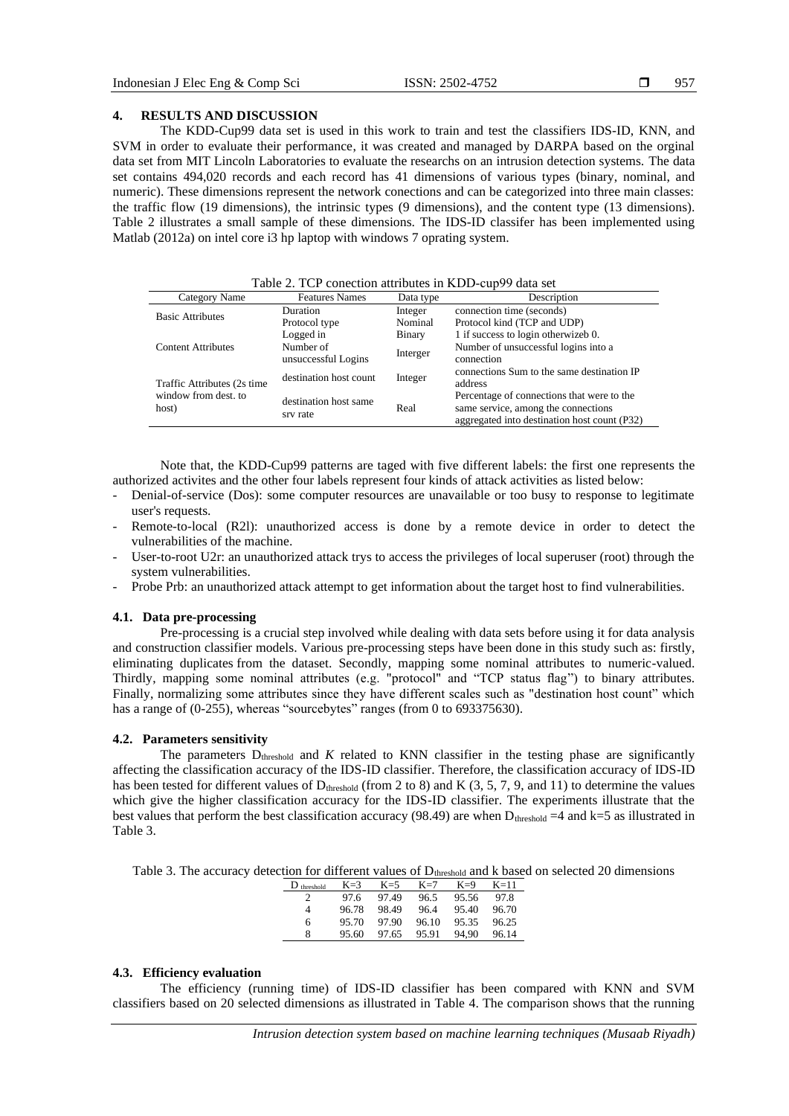# **4. RESULTS AND DISCUSSION**

The KDD-Cup99 data set is used in this work to train and test the classifiers IDS-ID, KNN, and SVM in order to evaluate their performance, it was created and managed by DARPA based on the orginal data set from MIT Lincoln Laboratories to evaluate the researchs on an intrusion detection systems. The data set contains 494,020 records and each record has 41 dimensions of various types (binary, nominal, and numeric). These dimensions represent the network conections and can be categorized into three main classes: the traffic flow (19 dimensions), the intrinsic types (9 dimensions), and the content type (13 dimensions). Table 2 illustrates a small sample of these dimensions. The IDS-ID classifer has been implemented using Matlab (2012a) on intel core i3 hp laptop with windows 7 oprating system.

Table 2. TCP conection attributes in KDD-cup99 data set

| Category Name                 | <b>Features Names</b>             | Data type | Description                                                                                                                       |
|-------------------------------|-----------------------------------|-----------|-----------------------------------------------------------------------------------------------------------------------------------|
| <b>Basic Attributes</b>       | <b>Duration</b>                   | Integer   | connection time (seconds)                                                                                                         |
|                               | Protocol type                     | Nominal   | Protocol kind (TCP and UDP)                                                                                                       |
|                               | Logged in                         | Binary    | 1 if success to login otherwizeb 0.                                                                                               |
| <b>Content Attributes</b>     | Number of<br>unsuccessful Logins  | Interger  | Number of unsuccessful logins into a<br>connection                                                                                |
| Traffic Attributes (2s time)  | destination host count            | Integer   | connections Sum to the same destination IP<br>address                                                                             |
| window from dest, to<br>host) | destination host same<br>srv rate | Real      | Percentage of connections that were to the<br>same service, among the connections<br>aggregated into destination host count (P32) |

Note that, the KDD-Cup99 patterns are taged with five different labels: the first one represents the authorized activites and the other four labels represent four kinds of attack activities as listed below:

- Denial-of-service (Dos): some computer resources are unavailable or too busy to response to legitimate user's requests.
- Remote-to-local (R2l): unauthorized access is done by a remote device in order to detect the vulnerabilities of the machine.
- User-to-root U2r: an unauthorized attack trys to access the privileges of local superuser (root) through the system vulnerabilities.
- Probe Prb: an unauthorized attack attempt to get information about the target host to find vulnerabilities.

# **4.1. Data pre-processing**

Pre-processing is a crucial step involved while dealing with data sets before using it for data analysis and construction classifier models. Various pre-processing steps have been done in this study such as: firstly, eliminating duplicates from the dataset. Secondly, mapping some nominal attributes to numeric-valued. Thirdly, mapping some nominal attributes (e.g. "protocol" and "TCP status flag") to binary attributes. Finally, normalizing some attributes since they have different scales such as "destination host count" which has a range of (0-255), whereas "sourcebytes" ranges (from 0 to 693375630).

#### **4.2. Parameters sensitivity**

The parameters  $D_{threshold}$  and  $K$  related to KNN classifier in the testing phase are significantly affecting the classification accuracy of the IDS-ID classifier. Therefore, the classification accuracy of IDS-ID has been tested for different values of  $D_{threshold}$  (from 2 to 8) and K (3, 5, 7, 9, and 11) to determine the values which give the higher classification accuracy for the IDS-ID classifier. The experiments illustrate that the best values that perform the best classification accuracy (98.49) are when  $D_{threshold} = 4$  and k=5 as illustrated in Table 3.

Table 3. The accuracy detection for different values of  $D_{threshold}$  and k based on selected 20 dimensions

| $D_{threshold}$ | $K=3$ | $K=5$ | $K=7$ | $K=9$ | $K=11$ |
|-----------------|-------|-------|-------|-------|--------|
|                 | 97.6  | 97.49 | 96.5  | 95.56 | 97.8   |
| 4               | 96.78 | 98.49 | 96.4  | 95.40 | 96.70  |
| 6               | 95.70 | 97.90 | 96.10 | 95.35 | 96.25  |
| 8               | 95.60 | 97.65 | 95.91 | 94.90 | 96.14  |

#### **4.3. Efficiency evaluation**

The efficiency (running time) of IDS-ID classifier has been compared with KNN and SVM classifiers based on 20 selected dimensions as illustrated in Table 4. The comparison shows that the running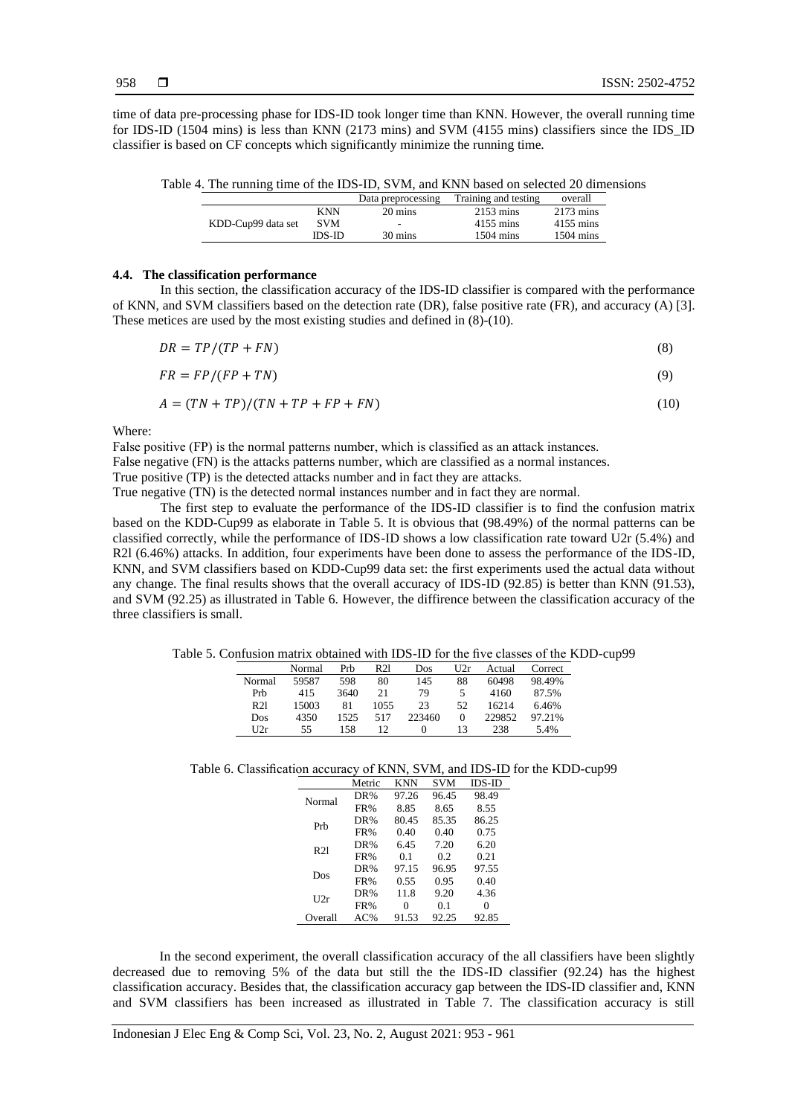time of data pre-processing phase for IDS-ID took longer time than KNN. However, the overall running time for IDS-ID (1504 mins) is less than KNN (2173 mins) and SVM (4155 mins) classifiers since the IDS\_ID classifier is based on CF concepts which significantly minimize the running time.

| Table 4. The running time of the IDS-ID, SVM, and KNN based on selected 20 dimensions |  |
|---------------------------------------------------------------------------------------|--|
|---------------------------------------------------------------------------------------|--|

|                    |            | Data preprocessing | Training and testing | overall             |
|--------------------|------------|--------------------|----------------------|---------------------|
|                    | <b>KNN</b> | 20 mins            | $2153 \text{ mins}$  | $2173 \text{ mins}$ |
| KDD-Cup99 data set | <b>SVM</b> | $\sim$             | 4155 mins            | 4155 mins           |
|                    | IDS-ID     | 30 mins            | $1504 \text{ mins}$  | $1504 \text{ mins}$ |

#### **4.4. The classification performance**

In this section, the classification accuracy of the IDS-ID classifier is compared with the performance of KNN, and SVM classifiers based on the detection rate (DR), false positive rate (FR), and accuracy (A) [3]. These metices are used by the most existing studies and defined in (8)-(10).

$$
DR = TP/(TP + FN) \tag{8}
$$

$$
FR = FP/(FP + TN) \tag{9}
$$

$$
A = (TN + TP)/(TN + TP + FP + FN)
$$
\n<sup>(10)</sup>

Where:

False positive (FP) is the normal patterns number, which is classified as an attack instances. False negative (FN) is the attacks patterns number, which are classified as a normal instances. True positive (TP) is the detected attacks number and in fact they are attacks.

True negative (TN) is the detected normal instances number and in fact they are normal.

The first step to evaluate the performance of the IDS-ID classifier is to find the confusion matrix based on the KDD-Cup99 as elaborate in Table 5. It is obvious that (98.49%) of the normal patterns can be classified correctly, while the performance of IDS-ID shows a low classification rate toward U2r (5.4%) and R2l (6.46%) attacks. In addition, four experiments have been done to assess the performance of the IDS-ID, KNN, and SVM classifiers based on KDD-Cup99 data set: the first experiments used the actual data without any change. The final results shows that the overall accuracy of IDS-ID (92.85) is better than KNN (91.53), and SVM (92.25) as illustrated in Table 6. However, the diffirence between the classification accuracy of the three classifiers is small.

Table 5. Confusion matrix obtained with IDS-ID for the five classes of the KDD-cup99

|                 | Normal | Prh  | R21  | Dos      | 112r | Actual | Correct |
|-----------------|--------|------|------|----------|------|--------|---------|
| Normal          | 59587  | 598  | 80   | 145      | 88   | 60498  | 98.49%  |
| Prh             | 415    | 3640 | 21   | 79       | 5    | 4160   | 87.5%   |
| R <sub>21</sub> | 15003  | 81   | 1055 | 23       | 52   | 16214  | 6.46%   |
| Dos             | 4350   | 1525 | 517  | 223460   | 0    | 229852 | 97.21%  |
| U2r             | 55     | 158  | 12   | $\theta$ | 13   | 238    | 5.4%    |

Table 6. Classification accuracy of KNN, SVM, and IDS-ID for the KDD-cup99

|                 | Metric | <b>KNN</b> | <b>SVM</b> | $IDS-ID$ |
|-----------------|--------|------------|------------|----------|
| Normal          | DR%    | 97.26      | 96.45      | 98.49    |
|                 | FR%    | 8.85       | 8.65       | 8.55     |
| Prh             | DR%    | 80.45      | 85.35      | 86.25    |
|                 | FR%    | 0.40       | 0.40       | 0.75     |
| R <sub>21</sub> | DR%    | 6.45       | 7.20       | 6.20     |
|                 | FR%    | 0.1        | 0.2        | 0.21     |
| Dos             | DR%    | 97.15      | 96.95      | 97.55    |
|                 | FR%    | 0.55       | 0.95       | 0.40     |
| U2r             | DR%    | 11.8       | 9.20       | 4.36     |
|                 | FR%    | 0          | 0.1        | 0        |
| Overall         | $AC\%$ | 91.53      | 92.25      | 92.85    |

In the second experiment, the overall classification accuracy of the all classifiers have been slightly decreased due to removing 5% of the data but still the the IDS-ID classifier (92.24) has the highest classification accuracy. Besides that, the classification accuracy gap between the IDS-ID classifier and, KNN and SVM classifiers has been increased as illustrated in Table 7. The classification accuracy is still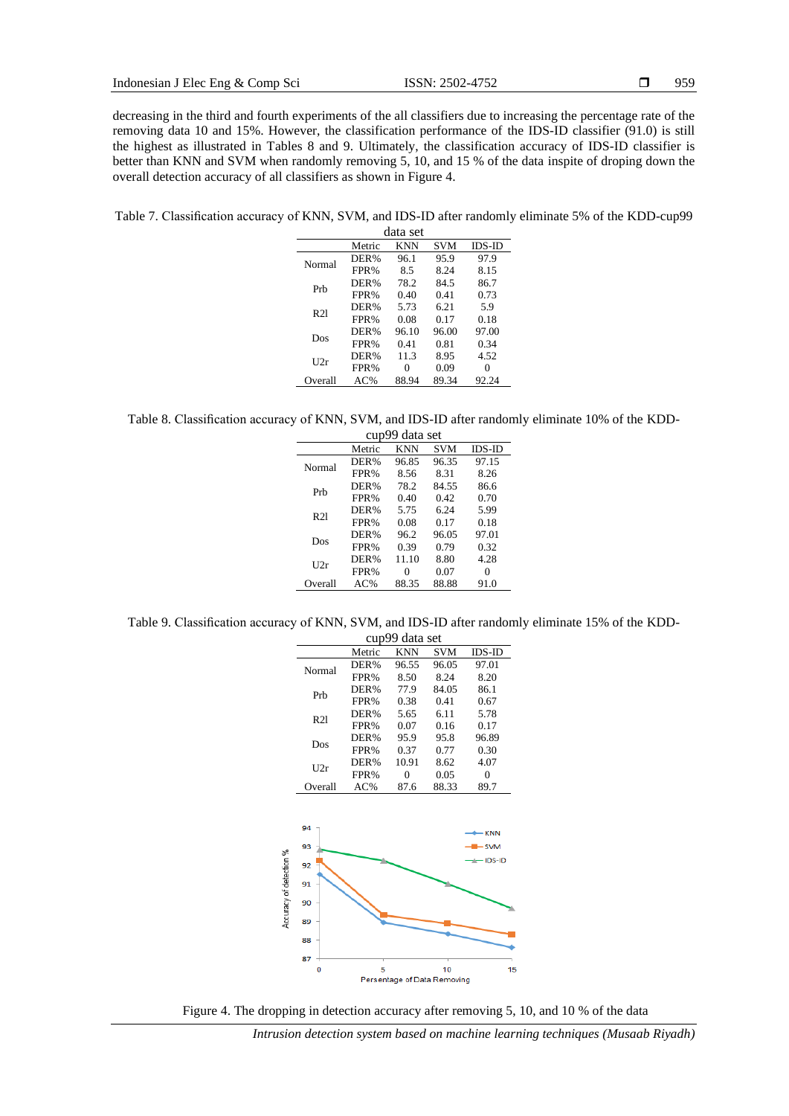decreasing in the third and fourth experiments of the all classifiers due to increasing the percentage rate of the removing data 10 and 15%. However, the classification performance of the IDS-ID classifier (91.0) is still the highest as illustrated in Tables 8 and 9. Ultimately, the classification accuracy of IDS-ID classifier is better than KNN and SVM when randomly removing 5, 10, and 15 % of the data inspite of droping down the overall detection accuracy of all classifiers as shown in Figure 4.

Table 7. Classification accuracy of KNN, SVM, and IDS-ID after randomly eliminate 5% of the KDD-cup99  $\overline{d}_{\alpha t}$ 

|         |        | aata set |            |          |
|---------|--------|----------|------------|----------|
|         | Metric | KNN      | <b>SVM</b> | $IDS-ID$ |
| Normal  | DER%   | 96.1     | 95.9       | 97.9     |
|         | FPR%   | 8.5      | 8.24       | 8.15     |
| Prh     | DER%   | 78.2     | 84.5       | 86.7     |
|         | FPR%   | 0.40     | 0.41       | 0.73     |
| R21     | DER%   | 5.73     | 6.21       | 5.9      |
|         | FPR%   | 0.08     | 0.17       | 0.18     |
| Dos     | DER%   | 96.10    | 96.00      | 97.00    |
|         | FPR%   | 0.41     | 0.81       | 0.34     |
| U2r     | DER%   | 11.3     | 8.95       | 4.52     |
|         | FPR%   | 0        | 0.09       | 0        |
| Overall | AC%    | 88.94    | 89.34      | 92.24    |

Table 8. Classification accuracy of KNN, SVM, and IDS-ID after randomly eliminate 10% of the KDD-

|         | cup9   | 9 data set |            |          |
|---------|--------|------------|------------|----------|
|         | Metric | KNN        | <b>SVM</b> | $IDS-ID$ |
| Normal  | DER%   | 96.85      | 96.35      | 97.15    |
|         | FPR%   | 8.56       | 8.31       | 8.26     |
| Prh     | DER%   | 78.2       | 84.55      | 86.6     |
|         | FPR%   | 0.40       | 0.42       | 0.70     |
| R21     | DER%   | 5.75       | 6.24       | 5.99     |
|         | FPR%   | 0.08       | 0.17       | 0.18     |
| Dos     | DER%   | 96.2       | 96.05      | 97.01    |
|         | FPR%   | 0.39       | 0.79       | 0.32     |
| U2r     | DER%   | 11.10      | 8.80       | 4.28     |
|         | FPR%   | 0          | 0.07       | 0        |
| Overall | $AC\%$ | 88.35      | 88.88      | 91.0     |

Table 9. Classification accuracy of KNN, SVM, and IDS-ID after randomly eliminate 15% of the KDD-

|                         |         |        | cup99 data set |            |                |
|-------------------------|---------|--------|----------------|------------|----------------|
|                         |         | Metric | <b>KNN</b>     | <b>SVM</b> | <b>IDS-ID</b>  |
|                         | Normal  | DER%   | 96.55          | 96.05      | 97.01          |
|                         |         | FPR%   | 8.50           | 8.24       | 8.20           |
|                         | Prb     | DER%   | 77.9           | 84.05      | 86.1           |
|                         |         | FPR%   | 0.38           | 0.41       | 0.67           |
|                         | R21     | DER%   | 5.65           | 6.11       | 5.78           |
|                         |         | FPR%   | 0.07           | 0.16       | 0.17           |
|                         | Dos     | DER%   | 95.9           | 95.8       | 96.89          |
|                         |         | FPR%   | 0.37           | 0.77       | 0.30           |
|                         | U2r     | DER%   | 10.91          | 8.62       | 4.07           |
|                         |         | FPR%   | $\overline{0}$ | 0.05       | $\overline{0}$ |
|                         | Overall | $AC\%$ | 87.6           | 88.33      | 89.7           |
|                         | 94      |        |                |            | · KNN          |
|                         |         |        |                |            |                |
|                         | 93      |        |                |            | -SVM           |
|                         | 92      |        |                |            | - IDS-ID       |
|                         | 91      |        |                |            |                |
|                         | 90      |        |                |            |                |
|                         | 89      |        |                |            |                |
|                         | 88      |        |                |            |                |
| Accuracy of detection % | 87<br>0 | 5      |                | 10         | 15             |



*Intrusion detection system based on machine learning techniques (Musaab Riyadh)*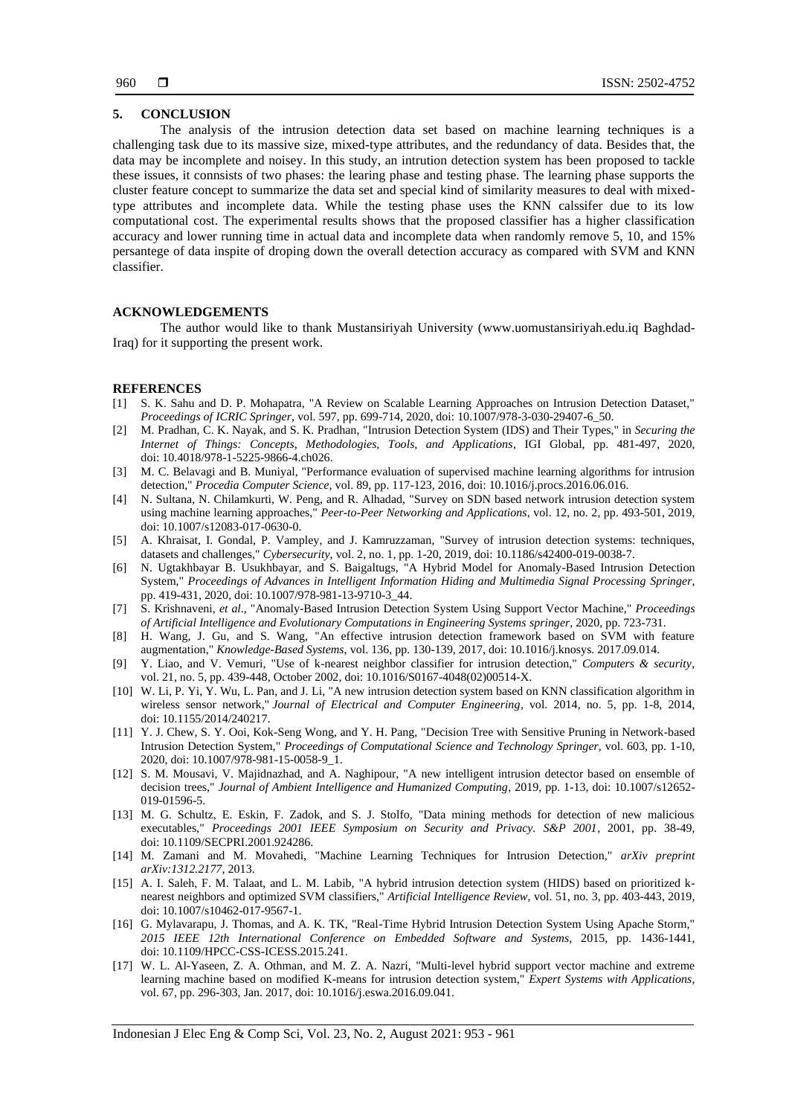# **5. CONCLUSION**

The analysis of the intrusion detection data set based on machine learning techniques is a challenging task due to its massive size, mixed-type attributes, and the redundancy of data. Besides that, the data may be incomplete and noisey. In this study, an intrution detection system has been proposed to tackle these issues, it connsists of two phases: the learing phase and testing phase. The learning phase supports the cluster feature concept to summarize the data set and special kind of similarity measures to deal with mixedtype attributes and incomplete data. While the testing phase uses the KNN calssifer due to its low computational cost. The experimental results shows that the proposed classifier has a higher classification accuracy and lower running time in actual data and incomplete data when randomly remove 5, 10, and 15% persantege of data inspite of droping down the overall detection accuracy as compared with SVM and KNN classifier.

# **ACKNOWLEDGEMENTS**

The author would like to thank Mustansiriyah University [\(www.uomustansiriyah.edu.iq](http://www.uomustansiriyah.edu.iq/) Baghdad-Iraq) for it supporting the present work.

#### **REFERENCES**

- [1] S. K. Sahu and D. P. Mohapatra, "A Review on Scalable Learning Approaches on Intrusion Detection Dataset," *Proceedings of ICRIC Springer*, vol. 597, pp. 699-714, 2020, doi: 10.1007/978-3-030-29407-6\_50.
- [2] M. Pradhan, C. K. Nayak, and S. K. Pradhan, "Intrusion Detection System (IDS) and Their Types," in *Securing the Internet of Things: Concepts, Methodologies, Tools, and Applications*, IGI Global, pp. 481-497, 2020, doi: 10.4018/978-1-5225-9866-4.ch026.
- [3] M. C. Belavagi and B. Muniyal, "Performance evaluation of supervised machine learning algorithms for intrusion detection," *Procedia Computer Science*, vol. 89, pp. 117-123, 2016, doi: 10.1016/j.procs.2016.06.016.
- [4] N. Sultana, N. Chilamkurti, W. Peng, and R. Alhadad, "Survey on SDN based network intrusion detection system using machine learning approaches," *Peer-to-Peer Networking and Applications*, vol. 12, no. 2, pp. 493-501, 2019, doi: 10.1007/s12083-017-0630-0.
- [5] A. Khraisat, I. Gondal, P. Vampley, and J. Kamruzzaman, "Survey of intrusion detection systems: techniques, datasets and challenges," *Cybersecurity*, vol. 2, no. 1, pp. 1-20, 2019, doi: 10.1186/s42400-019-0038-7.
- [6] N. Ugtakhbayar B. Usukhbayar, and S. Baigaltugs, "A Hybrid Model for Anomaly-Based Intrusion Detection System," *Proceedings of Advances in Intelligent Information Hiding and Multimedia Signal Processing Springer*, pp. 419-431, 2020, doi: 10.1007/978-981-13-9710-3\_44.
- [7] S. Krishnaveni, *et al*., "Anomaly-Based Intrusion Detection System Using Support Vector Machine," *Proceedings of Artificial Intelligence and Evolutionary Computations in Engineering Systems springer*, 2020, pp. 723-731.
- [8] H. Wang, J. Gu, and S. Wang, "An effective intrusion detection framework based on SVM with feature augmentation," *Knowledge-Based Systems*, vol. 136, pp. 130-139, 2017, doi: 10.1016/j.knosys. 2017.09.014.
- [9] Y. Liao, and V. Vemuri, "Use of k-nearest neighbor classifier for intrusion detection," *Computers & security*, vol. 21, no. 5, pp. 439-448, October 2002, doi: 10.1016/S0167-4048(02)00514-X.
- [10] W. Li, P. Yi, Y. Wu, L. Pan, and J. Li, "A new intrusion detection system based on KNN classification algorithm in wireless sensor network," *Journal of Electrical and Computer Engineering*, vol. 2014, no. 5, pp. 1-8, 2014, doi: 10.1155/2014/240217.
- [11] Y. J. Chew, S. Y. Ooi, Kok-Seng Wong, and Y. H. Pang, "Decision Tree with Sensitive Pruning in Network-based Intrusion Detection System," *Proceedings of Computational Science and Technology Springer*, vol. 603, pp. 1-10, 2020, doi: 10.1007/978-981-15-0058-9\_1.
- [12] S. M. Mousavi, V. Majidnazhad, and A. Naghipour, "A new intelligent intrusion detector based on ensemble of decision trees," *Journal of Ambient Intelligence and Humanized Computing*, 2019, pp. 1-13, doi: 10.1007/s12652- 019-01596-5.
- [13] M. G. Schultz, E. Eskin, F. Zadok, and S. J. Stolfo, "Data mining methods for detection of new malicious executables," *Proceedings 2001 IEEE Symposium on Security and Privacy. S&P 2001*, 2001, pp. 38-49, doi: 10.1109/SECPRI.2001.924286.
- [14] M. Zamani and M. Movahedi, "Machine Learning Techniques for Intrusion Detection," *arXiv preprint arXiv:1312.2177*, 2013.
- [15] A. I. Saleh, F. M. Talaat, and L. M. Labib, "A hybrid intrusion detection system (HIDS) based on prioritized knearest neighbors and optimized SVM classifiers," *Artificial Intelligence Review*, vol. 51, no. 3, pp. 403-443, 2019, doi: 10.1007/s10462-017-9567-1.
- [16] G. Mylavarapu, J. Thomas, and A. K. TK, "Real-Time Hybrid Intrusion Detection System Using Apache Storm," *2015 IEEE 12th International Conference on Embedded Software and Systems*, 2015, pp. 1436-1441, doi: 10.1109/HPCC-CSS-ICESS.2015.241.
- [17] W. L. Al-Yaseen, Z. A. Othman, and M. Z. A. Nazri, "Multi-level hybrid support vector machine and extreme learning machine based on modified K-means for intrusion detection system," *Expert Systems with Applications*, vol. 67, pp. 296-303, Jan. 2017, doi: 10.1016/j.eswa.2016.09.041.